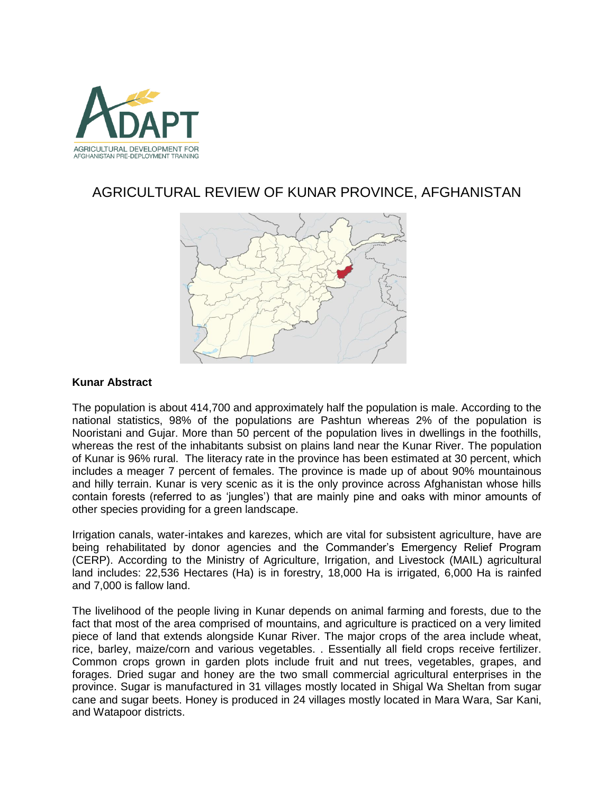

# AGRICULTURAL REVIEW OF KUNAR PROVINCE, AFGHANISTAN



# **Kunar Abstract**

The population is about 414,700 and approximately half the population is male. According to the national statistics, 98% of the populations are Pashtun whereas 2% of the population is Nooristani and Gujar. More than 50 percent of the population lives in dwellings in the foothills, whereas the rest of the inhabitants subsist on plains land near the Kunar River. The population of Kunar is 96% rural. The literacy rate in the province has been estimated at 30 percent, which includes a meager 7 percent of females. The province is made up of about 90% mountainous and hilly terrain. Kunar is very scenic as it is the only province across Afghanistan whose hills contain forests (referred to as 'jungles') that are mainly pine and oaks with minor amounts of other species providing for a green landscape.

Irrigation canals, water-intakes and karezes, which are vital for subsistent agriculture, have are being rehabilitated by donor agencies and the Commander's Emergency Relief Program (CERP). According to the Ministry of Agriculture, Irrigation, and Livestock (MAIL) agricultural land includes: 22,536 Hectares (Ha) is in forestry, 18,000 Ha is irrigated, 6,000 Ha is rainfed and 7,000 is fallow land.

The livelihood of the people living in Kunar depends on animal farming and forests, due to the fact that most of the area comprised of mountains, and agriculture is practiced on a very limited piece of land that extends alongside Kunar River. The major crops of the area include wheat, rice, barley, maize/corn and various vegetables. . Essentially all field crops receive fertilizer. Common crops grown in garden plots include fruit and nut trees, vegetables, grapes, and forages. Dried sugar and honey are the two small commercial agricultural enterprises in the province. Sugar is manufactured in 31 villages mostly located in Shigal Wa Sheltan from sugar cane and sugar beets. Honey is produced in 24 villages mostly located in Mara Wara, Sar Kani, and Watapoor districts.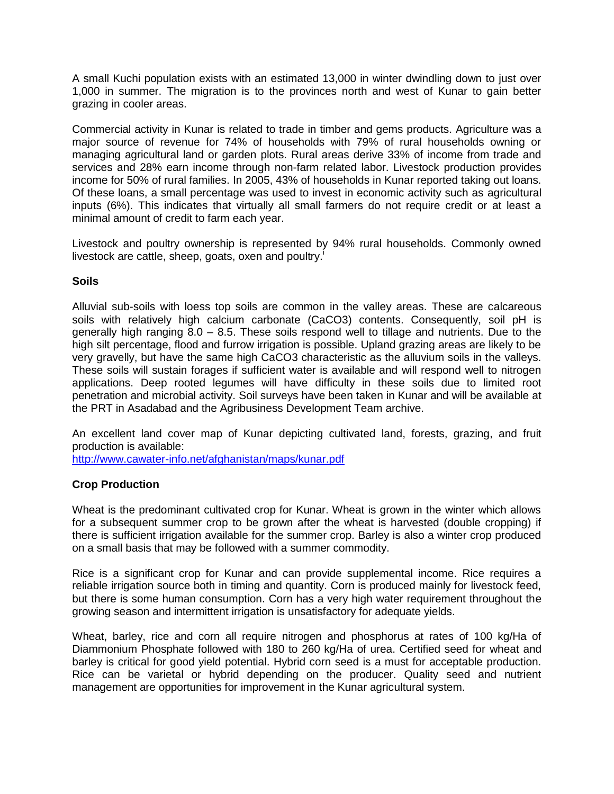A small Kuchi population exists with an estimated 13,000 in winter dwindling down to just over 1,000 in summer. The migration is to the provinces north and west of Kunar to gain better grazing in cooler areas.

Commercial activity in Kunar is related to trade in timber and gems products. Agriculture was a major source of revenue for 74% of households with 79% of rural households owning or managing agricultural land or garden plots. Rural areas derive 33% of income from trade and services and 28% earn income through non-farm related labor. Livestock production provides income for 50% of rural families. In 2005, 43% of households in Kunar reported taking out loans. Of these loans, a small percentage was used to invest in economic activity such as agricultural inputs (6%). This indicates that virtually all small farmers do not require credit or at least a minimal amount of credit to farm each year.

Livestock and poultry ownership is represented by 94% rural households. Commonly owned livestock are cattle, sheep, goats, oxen and poultry.<sup>i</sup>

## **Soils**

Alluvial sub-soils with loess top soils are common in the valley areas. These are calcareous soils with relatively high calcium carbonate (CaCO3) contents. Consequently, soil pH is generally high ranging 8.0 – 8.5. These soils respond well to tillage and nutrients. Due to the high silt percentage, flood and furrow irrigation is possible. Upland grazing areas are likely to be very gravelly, but have the same high CaCO3 characteristic as the alluvium soils in the valleys. These soils will sustain forages if sufficient water is available and will respond well to nitrogen applications. Deep rooted legumes will have difficulty in these soils due to limited root penetration and microbial activity. Soil surveys have been taken in Kunar and will be available at the PRT in Asadabad and the Agribusiness Development Team archive.

An excellent land cover map of Kunar depicting cultivated land, forests, grazing, and fruit production is available:

<http://www.cawater-info.net/afghanistan/maps/kunar.pdf>

# **Crop Production**

Wheat is the predominant cultivated crop for Kunar. Wheat is grown in the winter which allows for a subsequent summer crop to be grown after the wheat is harvested (double cropping) if there is sufficient irrigation available for the summer crop. Barley is also a winter crop produced on a small basis that may be followed with a summer commodity.

Rice is a significant crop for Kunar and can provide supplemental income. Rice requires a reliable irrigation source both in timing and quantity. Corn is produced mainly for livestock feed, but there is some human consumption. Corn has a very high water requirement throughout the growing season and intermittent irrigation is unsatisfactory for adequate yields.

Wheat, barley, rice and corn all require nitrogen and phosphorus at rates of 100 kg/Ha of Diammonium Phosphate followed with 180 to 260 kg/Ha of urea. Certified seed for wheat and barley is critical for good yield potential. Hybrid corn seed is a must for acceptable production. Rice can be varietal or hybrid depending on the producer. Quality seed and nutrient management are opportunities for improvement in the Kunar agricultural system.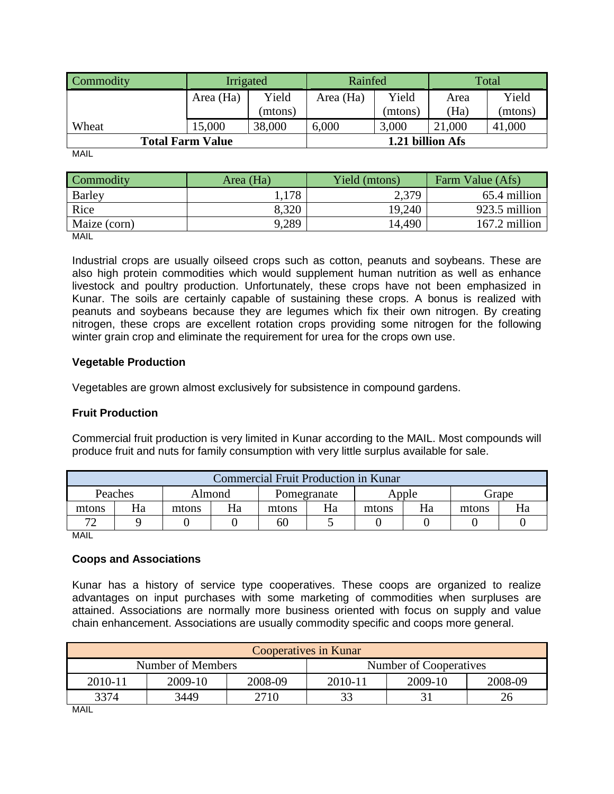| Commodity               | Irrigated |         | Rainfed   |                  | Total  |         |
|-------------------------|-----------|---------|-----------|------------------|--------|---------|
|                         | Area (Ha) | Yield   | Area (Ha) | Yield            | Area   | Yield   |
|                         |           | (mtons) |           | (mtons)          | (Ha)   | (mtons) |
| Wheat                   | 15,000    | 38,000  | 6,000     | 3,000            | 21,000 | 41,000  |
| <b>Total Farm Value</b> |           |         |           | 1.21 billion Afs |        |         |

MAIL

| Commodity    | Area (Ha) | Yield (mtons) | Farm Value (Afs) |
|--------------|-----------|---------------|------------------|
| Barley       | .178      | 2,379         | 65.4 million     |
| Rice         | 8,320     | 19,240        | 923.5 million    |
| Maize (corn) | 9,289     | 14,490        | 167.2 million    |

MAIL

Industrial crops are usually oilseed crops such as cotton, peanuts and soybeans. These are also high protein commodities which would supplement human nutrition as well as enhance livestock and poultry production. Unfortunately, these crops have not been emphasized in Kunar. The soils are certainly capable of sustaining these crops. A bonus is realized with peanuts and soybeans because they are legumes which fix their own nitrogen. By creating nitrogen, these crops are excellent rotation crops providing some nitrogen for the following winter grain crop and eliminate the requirement for urea for the crops own use.

# **Vegetable Production**

Vegetables are grown almost exclusively for subsistence in compound gardens.

# **Fruit Production**

Commercial fruit production is very limited in Kunar according to the MAIL. Most compounds will produce fruit and nuts for family consumption with very little surplus available for sale.

| <b>Commercial Fruit Production in Kunar</b> |    |       |        |             |    |       |       |       |       |
|---------------------------------------------|----|-------|--------|-------------|----|-------|-------|-------|-------|
| Peaches                                     |    |       | Almond | Pomegranate |    |       | Apple |       | Grape |
| mtons                                       | Ha | mtons | Ha     | mtons       | Ha | mtons | Ha    | mtons | Hа    |
| $\mathcal{L}$                               |    |       |        | 60          |    |       |       |       |       |

MAIL

# **Coops and Associations**

Kunar has a history of service type cooperatives. These coops are organized to realize advantages on input purchases with some marketing of commodities when surpluses are attained. Associations are normally more business oriented with focus on supply and value chain enhancement. Associations are usually commodity specific and coops more general.

| <b>Cooperatives in Kunar</b> |         |         |                        |         |         |  |
|------------------------------|---------|---------|------------------------|---------|---------|--|
| Number of Members            |         |         | Number of Cooperatives |         |         |  |
| 2010-11                      | 2009-10 | 2008-09 | 2010-11                | 2009-10 | 2008-09 |  |
| 3374                         | 3449    | 2710    |                        |         |         |  |

MAIL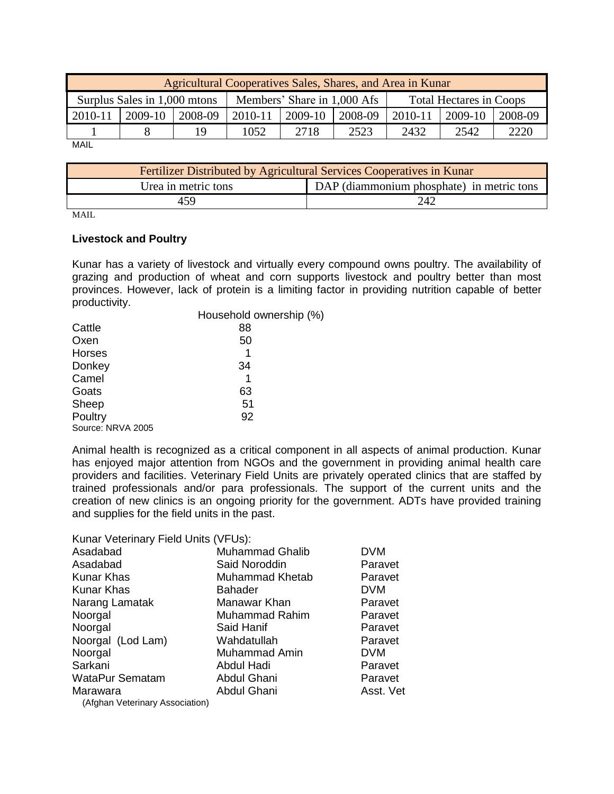| Agricultural Cooperatives Sales, Shares, and Area in Kunar |         |                              |           |         |                                |         |         |  |
|------------------------------------------------------------|---------|------------------------------|-----------|---------|--------------------------------|---------|---------|--|
|                                                            |         | Members' Share in 1,000 Afs  |           |         | <b>Total Hectares in Coops</b> |         |         |  |
| $2009-10$                                                  | 2008-09 | 2010-11                      | $2009-10$ | 2008-09 | 2010-11                        | 2009-10 | 2008-09 |  |
|                                                            | 19      | 1052                         | 2718      | 2523    | 2432                           | 2542    | 2220    |  |
|                                                            |         | Surplus Sales in 1,000 mtons |           |         |                                |         |         |  |

MAIL

| Fertilizer Distributed by Agricultural Services Cooperatives in Kunar |     |  |  |
|-----------------------------------------------------------------------|-----|--|--|
| DAP (diammonium phosphate) in metric tons<br>Urea in metric tons      |     |  |  |
| 459                                                                   | 242 |  |  |

MAIL

#### **Livestock and Poultry**

Kunar has a variety of livestock and virtually every compound owns poultry. The availability of grazing and production of wheat and corn supports livestock and poultry better than most provinces. However, lack of protein is a limiting factor in providing nutrition capable of better productivity.

|                   | Household ownership (%) |
|-------------------|-------------------------|
| Cattle            | 88                      |
| Oxen              | 50                      |
| Horses            | 1                       |
| Donkey            | 34                      |
| Camel             | 1                       |
| Goats             | 63                      |
| Sheep             | 51                      |
| Poultry           | 92                      |
| Source: NRVA 2005 |                         |

Animal health is recognized as a critical component in all aspects of animal production. Kunar has enjoyed major attention from NGOs and the government in providing animal health care providers and facilities. Veterinary Field Units are privately operated clinics that are staffed by trained professionals and/or para professionals. The support of the current units and the creation of new clinics is an ongoing priority for the government. ADTs have provided training and supplies for the field units in the past.

Kunar Veterinary Field Units (VFUs):

| Asadabad                        | <b>Muhammad Ghalib</b> | <b>DVM</b> |
|---------------------------------|------------------------|------------|
| Asadabad                        | Said Noroddin          | Paravet    |
| <b>Kunar Khas</b>               | Muhammad Khetab        | Paravet    |
| Kunar Khas                      | <b>Bahader</b>         | <b>DVM</b> |
| Narang Lamatak                  | Manawar Khan           | Paravet    |
| Noorgal                         | <b>Muhammad Rahim</b>  | Paravet    |
| Noorgal                         | Said Hanif             | Paravet    |
| Noorgal (Lod Lam)               | Wahdatullah            | Paravet    |
| Noorgal                         | Muhammad Amin          | <b>DVM</b> |
| Sarkani                         | Abdul Hadi             | Paravet    |
| WataPur Sematam                 | Abdul Ghani            | Paravet    |
| Marawara                        | Abdul Ghani            | Asst. Vet  |
| (Afghan Veterinary Association) |                        |            |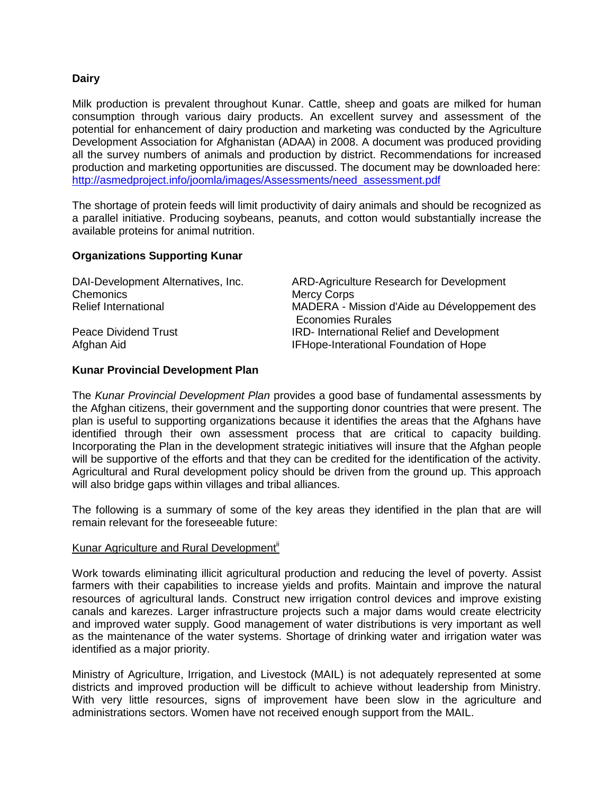## **Dairy**

Milk production is prevalent throughout Kunar. Cattle, sheep and goats are milked for human consumption through various dairy products. An excellent survey and assessment of the potential for enhancement of dairy production and marketing was conducted by the Agriculture Development Association for Afghanistan (ADAA) in 2008. A document was produced providing all the survey numbers of animals and production by district. Recommendations for increased production and marketing opportunities are discussed. The document may be downloaded here: [http://asmedproject.info/joomla/images/Assessments/need\\_assessment.pdf](http://asmedproject.info/joomla/images/Assessments/need_assessment.pdf)

The shortage of protein feeds will limit productivity of dairy animals and should be recognized as a parallel initiative. Producing soybeans, peanuts, and cotton would substantially increase the available proteins for animal nutrition.

#### **Organizations Supporting Kunar**

| DAI-Development Alternatives, Inc.<br>Chemonics | ARD-Agriculture Research for Development<br><b>Mercy Corps</b>               |
|-------------------------------------------------|------------------------------------------------------------------------------|
| Relief International                            | MADERA - Mission d'Aide au Développement des                                 |
| Peace Dividend Trust                            | <b>Economies Rurales</b><br><b>IRD-</b> International Relief and Development |
| Afghan Aid                                      | IFHope-Interational Foundation of Hope                                       |

## **Kunar Provincial Development Plan**

The *Kunar Provincial Development Plan* provides a good base of fundamental assessments by the Afghan citizens, their government and the supporting donor countries that were present. The plan is useful to supporting organizations because it identifies the areas that the Afghans have identified through their own assessment process that are critical to capacity building. Incorporating the Plan in the development strategic initiatives will insure that the Afghan people will be supportive of the efforts and that they can be credited for the identification of the activity. Agricultural and Rural development policy should be driven from the ground up. This approach will also bridge gaps within villages and tribal alliances.

The following is a summary of some of the key areas they identified in the plan that are will remain relevant for the foreseeable future:

#### Kunar Agriculture and Rural Development<sup>ii</sup>

Work towards eliminating illicit agricultural production and reducing the level of poverty. Assist farmers with their capabilities to increase yields and profits. Maintain and improve the natural resources of agricultural lands. Construct new irrigation control devices and improve existing canals and karezes. Larger infrastructure projects such a major dams would create electricity and improved water supply. Good management of water distributions is very important as well as the maintenance of the water systems. Shortage of drinking water and irrigation water was identified as a major priority.

Ministry of Agriculture, Irrigation, and Livestock (MAIL) is not adequately represented at some districts and improved production will be difficult to achieve without leadership from Ministry. With very little resources, signs of improvement have been slow in the agriculture and administrations sectors. Women have not received enough support from the MAIL.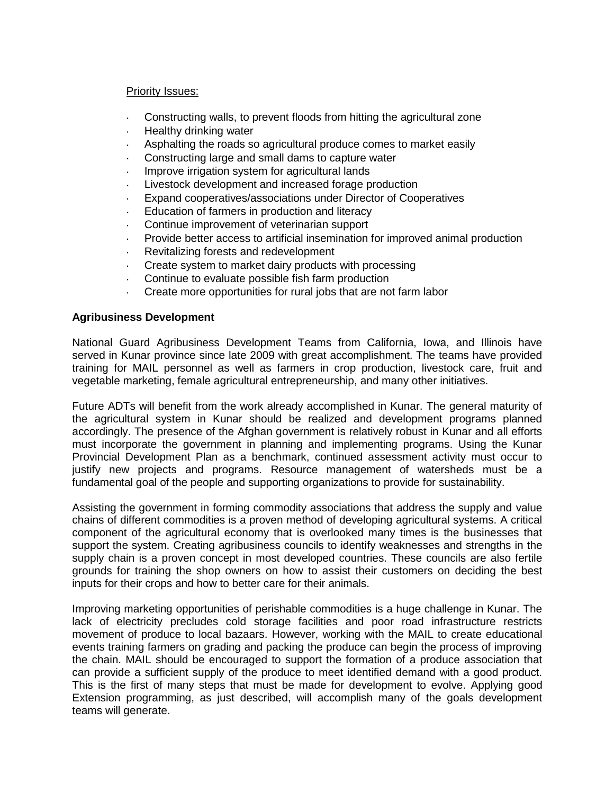## Priority Issues:

- $\ddot{\phantom{a}}$ Constructing walls, to prevent floods from hitting the agricultural zone
- $\ddot{\phantom{a}}$ Healthy drinking water
- Asphalting the roads so agricultural produce comes to market easily
- Constructing large and small dams to capture water
- Improve irrigation system for agricultural lands  $\ddot{\phantom{a}}$
- Livestock development and increased forage production
- Expand cooperatives/associations under Director of Cooperatives  $\ddot{\phantom{a}}$
- Education of farmers in production and literacy
- Continue improvement of veterinarian support
- Provide better access to artificial insemination for improved animal production
- Revitalizing forests and redevelopment
- Create system to market dairy products with processing
- Continue to evaluate possible fish farm production
- Create more opportunities for rural jobs that are not farm labor

# **Agribusiness Development**

National Guard Agribusiness Development Teams from California, Iowa, and Illinois have served in Kunar province since late 2009 with great accomplishment. The teams have provided training for MAIL personnel as well as farmers in crop production, livestock care, fruit and vegetable marketing, female agricultural entrepreneurship, and many other initiatives.

Future ADTs will benefit from the work already accomplished in Kunar. The general maturity of the agricultural system in Kunar should be realized and development programs planned accordingly. The presence of the Afghan government is relatively robust in Kunar and all efforts must incorporate the government in planning and implementing programs. Using the Kunar Provincial Development Plan as a benchmark, continued assessment activity must occur to justify new projects and programs. Resource management of watersheds must be a fundamental goal of the people and supporting organizations to provide for sustainability.

Assisting the government in forming commodity associations that address the supply and value chains of different commodities is a proven method of developing agricultural systems. A critical component of the agricultural economy that is overlooked many times is the businesses that support the system. Creating agribusiness councils to identify weaknesses and strengths in the supply chain is a proven concept in most developed countries. These councils are also fertile grounds for training the shop owners on how to assist their customers on deciding the best inputs for their crops and how to better care for their animals.

Improving marketing opportunities of perishable commodities is a huge challenge in Kunar. The lack of electricity precludes cold storage facilities and poor road infrastructure restricts movement of produce to local bazaars. However, working with the MAIL to create educational events training farmers on grading and packing the produce can begin the process of improving the chain. MAIL should be encouraged to support the formation of a produce association that can provide a sufficient supply of the produce to meet identified demand with a good product. This is the first of many steps that must be made for development to evolve. Applying good Extension programming, as just described, will accomplish many of the goals development teams will generate.